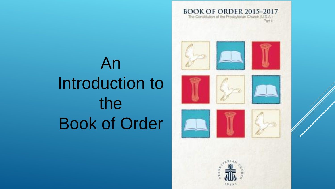An Introduction to the Book of Order







Partill





**BOOK OF ORDER 2015-2017** The Constitution of the Presbyterian Church (U.S.A.)









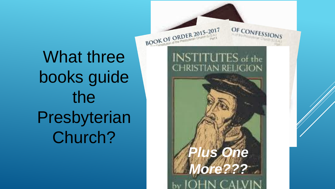What three books guide the Presbyterian Church?

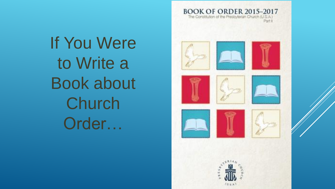If You Were to Write a Book about Church Order…

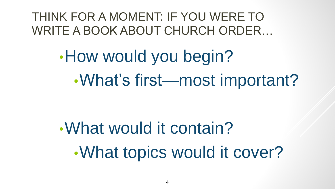THINK FOR A MOMENT: IF YOU WERE TO WRITE A BOOK ABOUT CHURCH ORDER…

> •How would you begin? •What's first—most important?

•What would it contain? •What topics would it cover?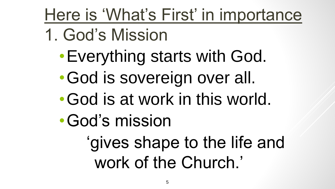# Here is 'What's First' in importance

- 1. God's Mission
	- •Everything starts with God.
	- •God is sovereign over all.
	- •God is at work in this world.
	- •God's mission
		- 'gives shape to the life and work of the Church.'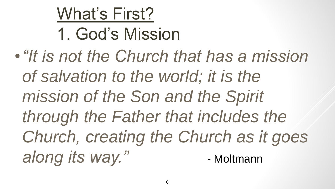#### What's First?

## 1. God's Mission

•*"It is not the Church that has a mission of salvation to the world; it is the mission of the Son and the Spirit through the Father that includes the Church, creating the Church as it goes along its way." -* Moltmann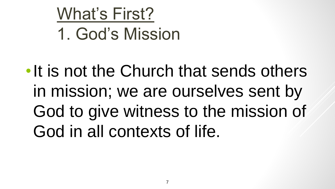#### What's First?

#### 1. God's Mission

•It is not the Church that sends others in mission; we are ourselves sent by God to give witness to the mission of God in all contexts of life.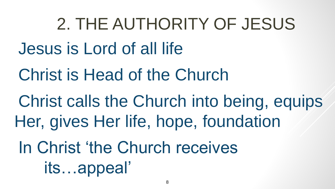2. THE AUTHORITY OF JESUS Jesus is Lord of all life

Christ is Head of the Church

Christ calls the Church into being, equips Her, gives Her life, hope, foundation

In Christ 'the Church receives its…appeal'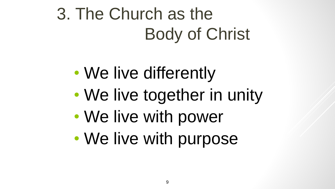3. The Church as the Body of Christ

- We live differently
- We live together in unity
- We live with power
- We live with purpose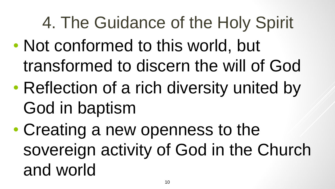# 4. The Guidance of the Holy Spirit

- Not conformed to this world, but transformed to discern the will of God
- Reflection of a rich diversity united by God in baptism

• Creating a new openness to the sovereign activity of God in the Church and world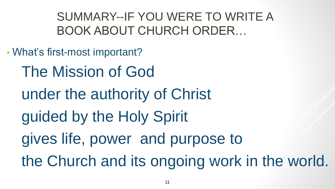SUMMARY--IF YOU WERE TO WRITE A BOOK ABOUT CHURCH ORDER…

- What's first-most important?
	- The Mission of God
	- under the authority of Christ
	- guided by the Holy Spirit
	- gives life, power and purpose to
	- the Church and its ongoing work in the world.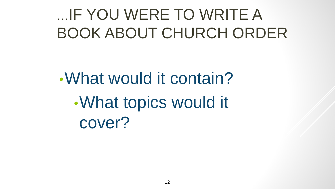#### …IF YOU WERE TO WRITE A BOOK ABOUT CHURCH ORDER

•What would it contain? •What topics would it cover?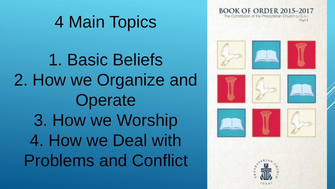#### 4 Main Topics

1. Basic Beliefs 2. How we Organize and **Operate** 3. How we Worship 4. How we Deal with Problems and Conflict

BOOK OF ORDER 2015–2017 The Contitution of the Presbyterian Church



















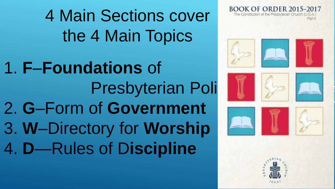4 Main Sections cover the 4 Main Topics

1. **F**–**Foundations** of Presbyterian Poli 2. **G**–Form of **Government** 3. **W**–Directory for **Worship** 4. **D**—Rules of D**iscipline**





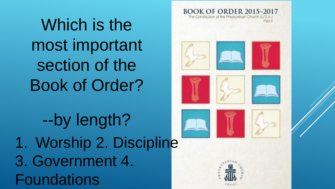Which is the most important section of the Book of Order?

--by length? 1. Worship 2. Discipline 3. Government 4. **Foundations** 

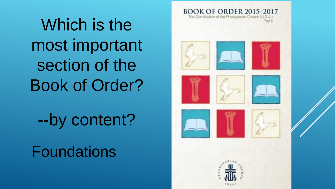Which is the most important section of the Book of Order?

--by content?

Foundations

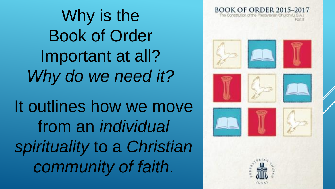Why is the Book of Order Important at all? *Why do we need it?* It outlines how we move from an *individual spirituality* to a *Christian community of faith*.



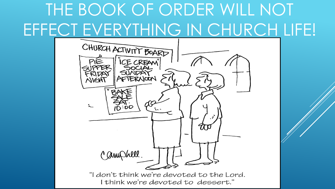## THE BOOK OF ORDER WILL NOT EFFECT EVERYTHING IN CHURCH LIFE!

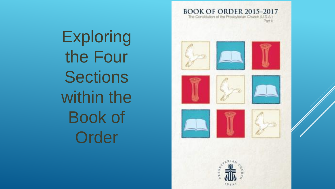**Exploring** the Four **Sections** within the Book of **Order** 

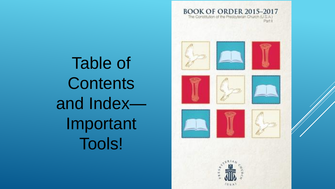Table of **Contents** and Index— Important Tools!

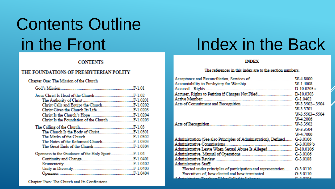# Contents Outline

#### **CONTENTS**

**Service State** 

#### THE FOUNDATIONS OF PRESBYTERIAN POLITY

#### Chapter One: The Mission of the Church

and the record of

Chapter Two: The Church and Its Confessions

#### in the Front Index in the Back

فتراجع فترجع المراجع

#### **TNDEX**

#### The references in this index are to the section numbers.

| <b>Active Member.</b>                                                                                          |               |
|----------------------------------------------------------------------------------------------------------------|---------------|
|                                                                                                                |               |
|                                                                                                                | W-3.3701      |
|                                                                                                                | W-3.5503-5504 |
|                                                                                                                | W 4.2006      |
|                                                                                                                |               |
|                                                                                                                | W-3.3504      |
|                                                                                                                | W 4.7000      |
| Administration (See also Principles of Administration), Defined G-3.0106                                       |               |
| <b>Administrative Commissions.</b><br>G-3.0109 b                                                               |               |
|                                                                                                                |               |
|                                                                                                                |               |
|                                                                                                                |               |
| <b>Administrative Staff:</b>                                                                                   |               |
| Elected under principles of participation and representation G-3.0110                                          |               |
|                                                                                                                |               |
| A design compared to the Control of the Control of the Control of the Control of the Control of the Control of |               |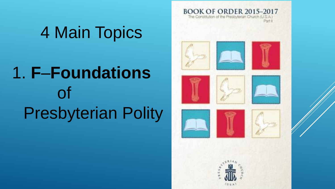### 4 Main Topics

# 1. **F**–**Foundations** of Presbyterian Polity

**BOOK OF ORDER 2015-2017** The Constitution of the Presbyterian Church (U.S.A.) Port II





















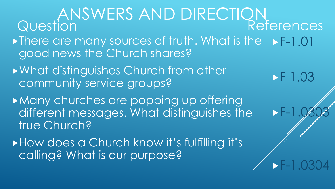ANSWERS AND DIRECTION Question • There are many sources of truth. What is the • F-1.01 good news the Church shares? What distinguishes Church from other community service groups? **Many churches are popping up offering** different messages. What distinguishes the true Church? How does a Church know it's fulfilling it's References **F** 1.03  $\blacktriangleright$  F-

F-1.0304

calling? What is our purpose?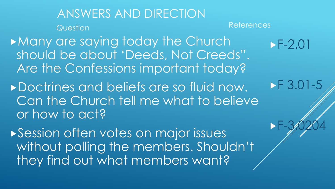ANSWERS AND DIRECTION Question Many are saying today the Church should be about 'Deeds, Not Creeds". Are the Confessions important today? Doctrines and beliefs are so fluid now. Can the Church tell me what to believe or how to act? References  $F-2.01$ **F 3.01-5**  $-F-3/0204$ 

**Session often votes on major issues** without polling the members. Shouldn't they find out what members want?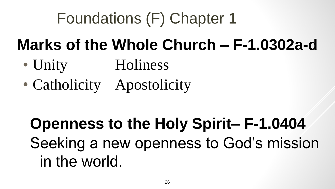### Foundations (F) Chapter 1

#### **Marks of the Whole Church – F-1.0302a-d**

- Unity Holiness
- Catholicity Apostolicity

### **Openness to the Holy Spirit– F-1.0404** Seeking a new openness to God's mission in the world.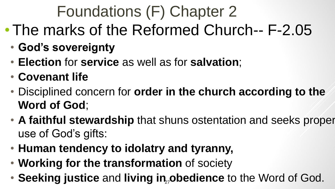### Foundations (F) Chapter 2

- The marks of the Reformed Church-- F-2.05
	- **God's sovereignty**
	- **Election** for **service** as well as for **salvation**;
	- **Covenant life**
	- Disciplined concern for **order in the church according to the Word of God**;
	- **A faithful stewardship** that shuns ostentation and seeks proper use of God's gifts:
	- **Human tendency to idolatry and tyranny,**
	- **Working for the transformation** of society
	- Seeking justice and living in<sub>z</sub>obedience to the Word of God.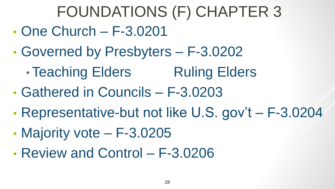### FOUNDATIONS (F) CHAPTER 3

- One Church F-3.0201
- Governed by Presbyters F-3.0202
	- Teaching Elders Ruling Elders
- Gathered in Councils F-3.0203
- Representative-but not like U.S. gov't F-3.0204
- Majority vote F-3.0205
- Review and Control F-3.0206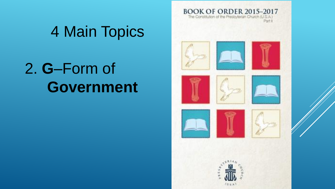

#### 2. **G**–Form of **Government**

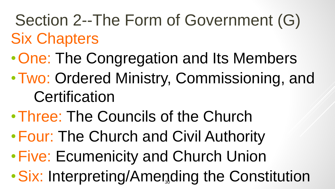Section 2--The Form of Government (G) Six Chapters

- •One: The Congregation and Its Members
- •Two: Ordered Ministry, Commissioning, and **Certification**
- •Three: The Councils of the Church
- •Four: The Church and Civil Authority
- •Five: Ecumenicity and Church Union
- Six: Interpreting/Amending the Constitution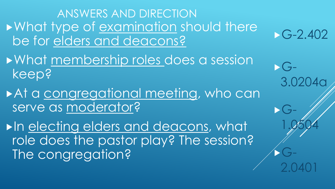ANSWERS AND DIRECTION • What type of examination should there be for elders and deacons?

 $-G-2.402$ 

3.0204a

1.0504

2.0401

 $\blacktriangleright$   $G$ -

G-

G-

- What membership roles does a session keep?
- At a congregational meeting, who can serve as moderator?

In electing elders and deacons, what role does the pastor play? The session? The congregation?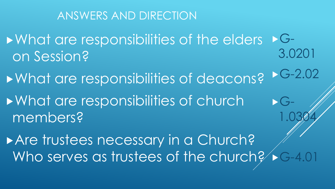#### ANSWERS AND DIRECTION

**Number 2018 19 Englewich Series Series 2018 19 Englisher Series 2019 19 Englishers** on Session?  $G-$ 3.0201

**Number 2018 Marshall September 2018 Marshall September 2018 Marshall September 2019 Marshall September 2019 Mars Number 2018 19 and 10 Fearing 10 Fearing 10 Fearing 10 Fearing 10 Fearing 10 Fearing 10 Fearing 10 Fearing 10** members? G-2.02  $\blacktriangleright$   $G$ -1.0304

Are trustees necessary in a Church? Who serves as trustees of the church? G-4.01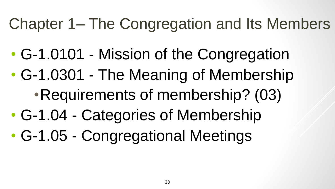#### Chapter 1– The Congregation and Its Members

- G-1.0101 Mission of the Congregation
- G-1.0301 The Meaning of Membership •Requirements of membership? (03)
- G-1.04 Categories of Membership
- G-1.05 Congregational Meetings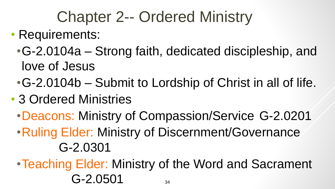#### Chapter 2-- Ordered Ministry

- Requirements:
	- •G-2.0104a Strong faith, dedicated discipleship, and love of Jesus
	- •G-2.0104b Submit to Lordship of Christ in all of life.
- 3 Ordered Ministries
	- •Deacons: Ministry of Compassion/Service G-2.0201
	- •Ruling Elder: Ministry of Discernment/Governance G-2.0301
	- •Teaching Elder: Ministry of the Word and Sacrament  $G-2.0501$   $_{34}$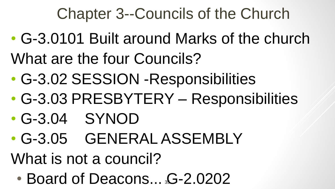#### Chapter 3--Councils of the Church

- G-3.0101 Built around Marks of the church What are the four Councils?
- G-3.02 SESSION -Responsibilities
- G-3.03 PRESBYTERY Responsibilities
- G-3.04 SYNOD
- G-3.05 GENERAL ASSEMBLY

What is not a council?

• Board of Deacons... \$-2.0202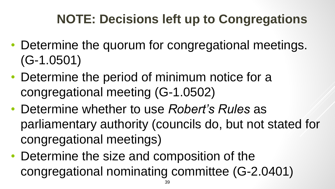#### **NOTE: Decisions left up to Congregations**

- Determine the quorum for congregational meetings. (G-1.0501)
- Determine the period of minimum notice for a congregational meeting (G-1.0502)
- Determine whether to use *Robert's Rules* as parliamentary authority (councils do, but not stated for congregational meetings)
- Determine the size and composition of the congregational nominating committee (G-2.0401)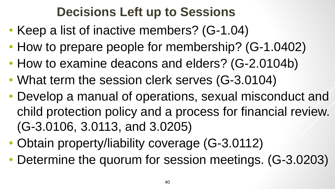#### **Decisions Left up to Sessions**

- Keep a list of inactive members? (G-1.04)
- How to prepare people for membership? (G-1.0402)
- How to examine deacons and elders? (G-2.0104b)
- What term the session clerk serves (G-3.0104)
- Develop a manual of operations, sexual misconduct and child protection policy and a process for financial review. (G-3.0106, 3.0113, and 3.0205)
- Obtain property/liability coverage (G-3.0112)
- Determine the quorum for session meetings. (G-3.0203)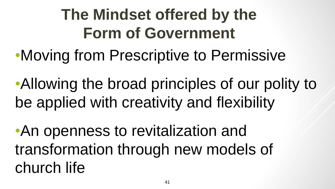### **The Mindset offered by the Form of Government**

•Moving from Prescriptive to Permissive

•Allowing the broad principles of our polity to be applied with creativity and flexibility

•An openness to revitalization and transformation through new models of church life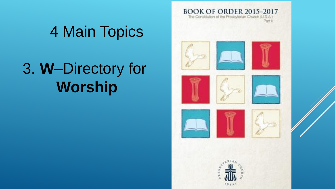#### 4 Main Topics

### 3. **W**–Directory for **Worship**

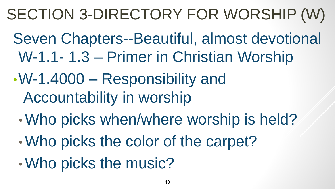#### SECTION 3-DIRECTORY FOR WORSHIP (W)

- Seven Chapters--Beautiful, almost devotional W-1.1- 1.3 – Primer in Christian Worship
- •W-1.4000 Responsibility and Accountability in worship
	- •Who picks when/where worship is held?
	- •Who picks the color of the carpet?
	- •Who picks the music?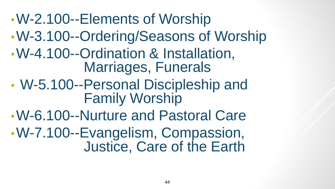#### •W-2.100--Elements of Worship

- •W-3.100--Ordering/Seasons of Worship
- •W-4.100--Ordination & Installation, Marriages, Funerals
- W-5.100--Personal Discipleship and Family Worship
- •W-6.100--Nurture and Pastoral Care •W-7.100--Evangelism, Compassion, Justice, Care of the Earth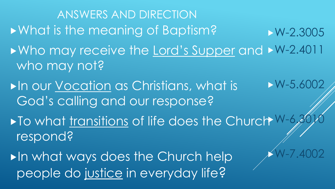- ANSWERS AND DIRECTION What is the meaning of Baptism? ▶ Who may receive the Lord's Supper and ▶ W-2.4011 who may not?  $\blacktriangleright$ In our Vocation as Christians, what is God's calling and our response? ▶ To what transitions of life does the Church W-6, 3010 respond? **In what ways does the Church help** W-2.3005  $\triangleright$  W-5.600 W-7.4002
	- people do justice in everyday life?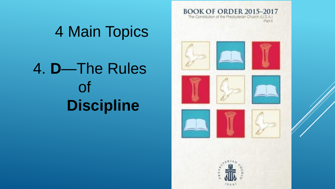

# 4. **D**—The Rules of **Discipline**

4 Main Topics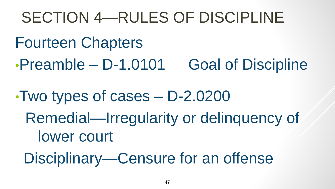#### SECTION 4—RULES OF DISCIPLINE

- Fourteen Chapters
- •Preamble D-1.0101 Goal of Discipline
- •Two types of cases D-2.0200 Remedial—Irregularity or delinquency of lower court
	- Disciplinary—Censure for an offense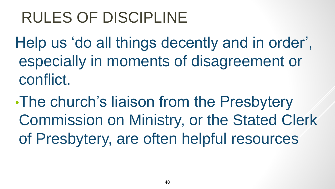#### RULES OF DISCIPLINE

Help us 'do all things decently and in order', especially in moments of disagreement or conflict.

•The church's liaison from the Presbytery Commission on Ministry, or the Stated Clerk of Presbytery, are often helpful resources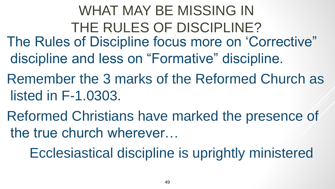- WHAT MAY BE MISSING IN THE RULES OF DISCIPLINE? The Rules of Discipline focus more on 'Corrective" discipline and less on "Formative" discipline.
- Remember the 3 marks of the Reformed Church as listed in F-1.0303.
- Reformed Christians have marked the presence of the true church wherever…

Ecclesiastical discipline is uprightly ministered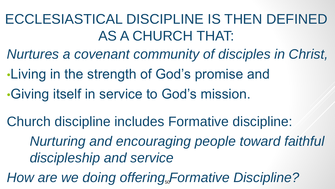#### ECCLESIASTICAL DISCIPLINE IS THEN DEFINED AS A CHURCH THAT:

*Nurtures a covenant community of disciples in Christ,*

- •Living in the strength of God's promise and
- •Giving itself in service to God's mission.
- Church discipline includes Formative discipline:
	- *Nurturing and encouraging people toward faithful discipleship and service*
- How are we doing offering<sub>50</sub>Formative Discipline?